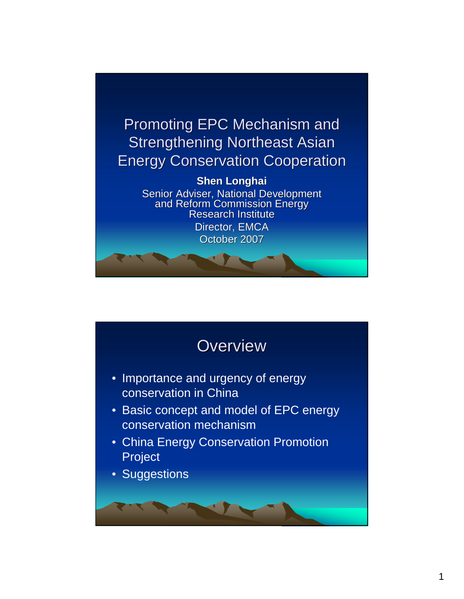

October 2007

# **Overview**

- Importance and urgency of energy conservation in China
- Basic concept and model of EPC energy conservation mechanism
- China Energy Conservation Promotion Project
- Suggestions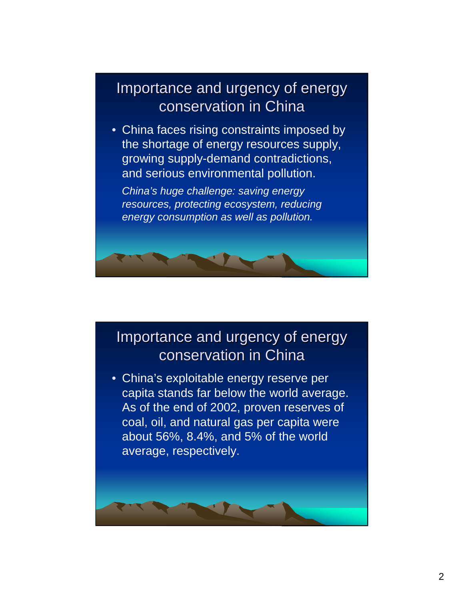• China faces rising constraints imposed by the shortage of energy resources supply, growing supply-demand contradictions, and serious environmental pollution.

China's huge challenge: saving energy resources, protecting ecosystem, reducing energy consumption as well as pollution.

## Importance and urgency of energy conservation in China

• China's exploitable energy reserve per capita stands far below the world average. As of the end of 2002, proven reserves of coal, oil, and natural gas per capita were about 56%, 8.4%, and 5% of the world average, respectively.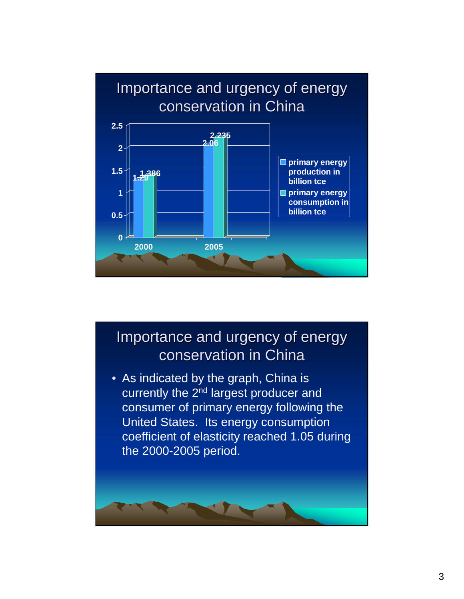

• As indicated by the graph, China is currently the 2<sup>nd</sup> largest producer and consumer of primary energy following the United States. Its energy consumption coefficient of elasticity reached 1.05 during the 2000-2005 period.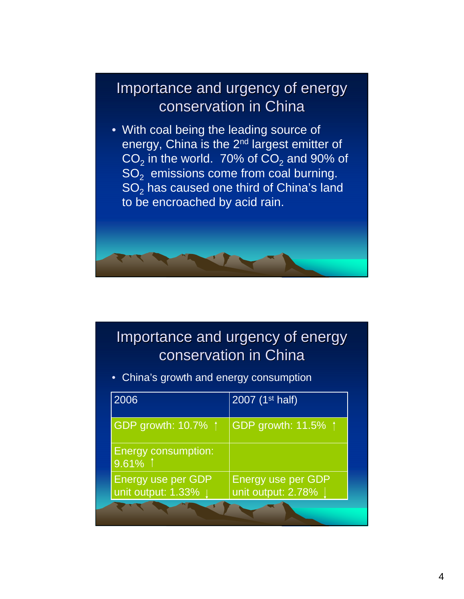• With coal being the leading source of energy, China is the 2<sup>nd</sup> largest emitter of  $\mathsf{CO}_2$  in the world. 70% of  $\mathsf{CO}_2$  and 90% of  $SO<sub>2</sub>$  emissions come from coal burning.  $SO<sub>2</sub>$  has caused one third of China's land to be encroached by acid rain.



### Importance and urgency of energy conservation in China

• China's growth and energy consumption

| 2006                                            | 2007 (1 <sup>st</sup> half)                     |  |  |
|-------------------------------------------------|-------------------------------------------------|--|--|
| GDP growth: 10.7%                               | GDP growth: 11.5%                               |  |  |
| <b>Energy consumption:</b><br>$9.61\%$          |                                                 |  |  |
| <b>Energy use per GDP</b><br>unit output: 1.33% | <b>Energy use per GDP</b><br>unit output: 2.78% |  |  |
|                                                 |                                                 |  |  |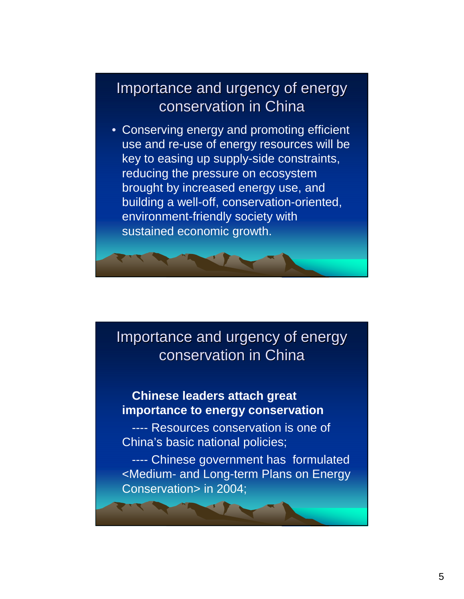• Conserving energy and promoting efficient use and re-use of energy resources will be key to easing up supply-side constraints, reducing the pressure on ecosystem brought by increased energy use, and building a well-off, conservation-oriented, environment-friendly society with sustained economic growth.



#### **Chinese leaders attach great importance to energy conservation**

---- Resources conservation is one of China's basic national policies;

---- Chinese government has formulated <Medium- and Long-term Plans on Energy Conservation> in 2004;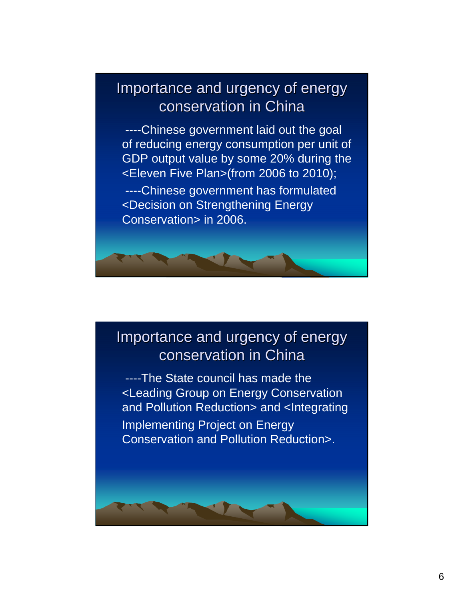----Chinese government laid out the goal of reducing energy consumption per unit of GDP output value by some 20% during the <Eleven Five Plan>(from 2006 to 2010); ----Chinese government has formulated <Decision on Strengthening Energy Conservation> in 2006.

## Importance and urgency of energy conservation in China

----The State council has made the <Leading Group on Energy Conservation and Pollution Reduction> and <Integrating Implementing Project on Energy Conservation and Pollution Reduction>.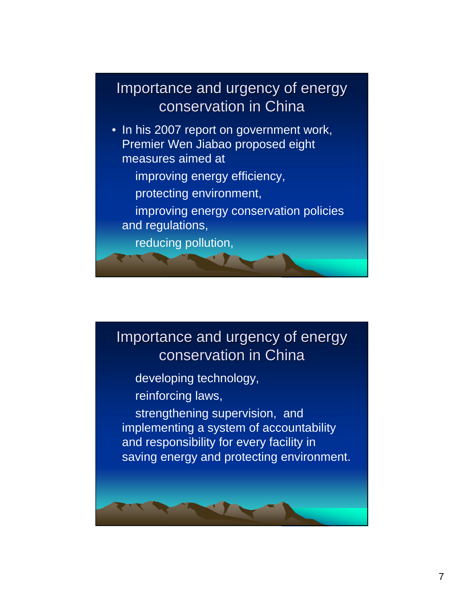- In his 2007 report on government work, Premier Wen Jiabao proposed eight measures aimed at
	- improving energy efficiency,
	- protecting environment,
	- improving energy conservation policies and regulations,
		- reducing pollution,

## Importance and urgency of energy conservation in China

developing technology, reinforcing laws,

strengthening supervision, and implementing a system of accountability and responsibility for every facility in saving energy and protecting environment.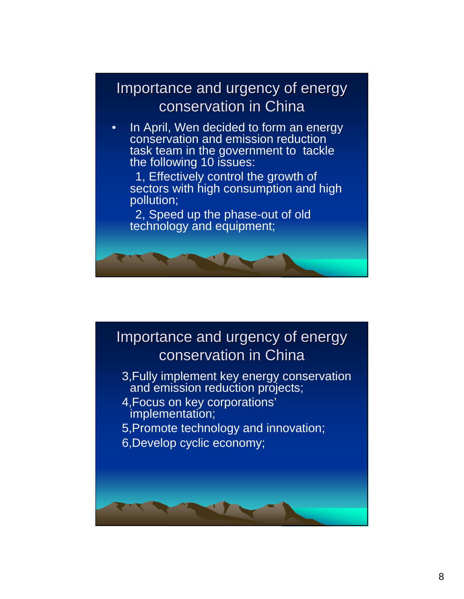



- 3,Fully implement key energy conservation and emission reduction projects;
- 4,Focus on key corporations' implementation;
- 5,Promote technology and innovation;
- 6,Develop cyclic economy;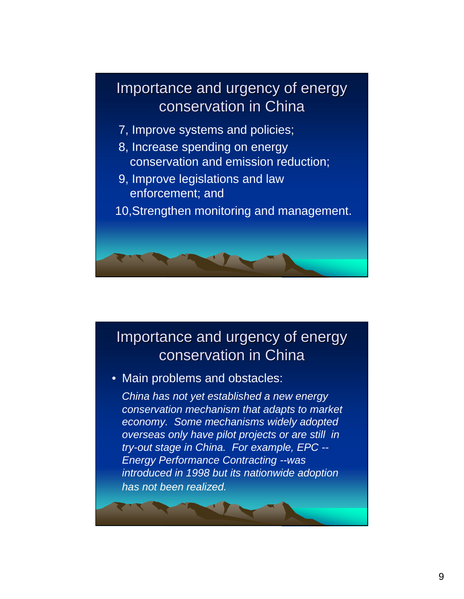- 7, Improve systems and policies;
- 8, Increase spending on energy conservation and emission reduction;
- 9, Improve legislations and law enforcement; and
- 10,Strengthen monitoring and management.

## Importance and urgency of energy conservation in China

• Main problems and obstacles:

China has not yet established a new energy conservation mechanism that adapts to market economy. Some mechanisms widely adopted overseas only have pilot projects or are still in try-out stage in China. For example, EPC -- Energy Performance Contracting --was introduced in 1998 but its nationwide adoption has not been realized.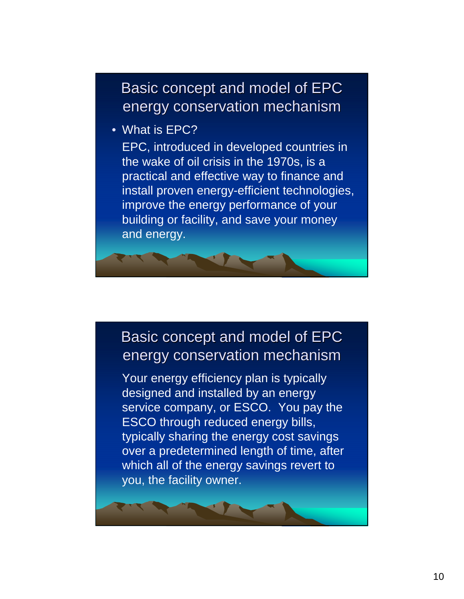#### Basic concept and model of EPC energy conservation mechanism

• What is EPC?

EPC, introduced in developed countries in the wake of oil crisis in the 1970s, is a practical and effective way to finance and install proven energy-efficient technologies, improve the energy performance of your building or facility, and save your money and energy.

#### Basic concept and model of EPC energy conservation mechanism

Your energy efficiency plan is typically designed and installed by an energy service company, or ESCO. You pay the ESCO through reduced energy bills, typically sharing the energy cost savings over a predetermined length of time, after which all of the energy savings revert to you, the facility owner.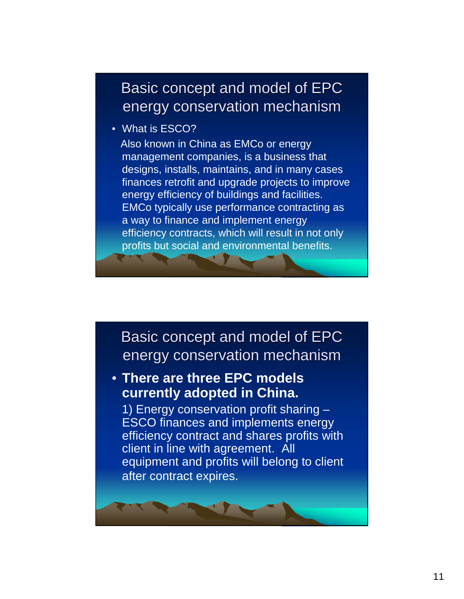#### Basic concept and model of EPC energy conservation mechanism

• What is ESCO?

Also known in China as EMCo or energy management companies, is a business that designs, installs, maintains, and in many cases finances retrofit and upgrade projects to improve energy efficiency of buildings and facilities. EMCo typically use performance contracting as a way to finance and implement energy efficiency contracts, which will result in not only profits but social and environmental benefits.

#### Basic concept and model of EPC energy conservation mechanism

#### • **There are three EPC models currently adopted in China.**

1) Energy conservation profit sharing – ESCO finances and implements energy efficiency contract and shares profits with client in line with agreement. All equipment and profits will belong to client after contract expires.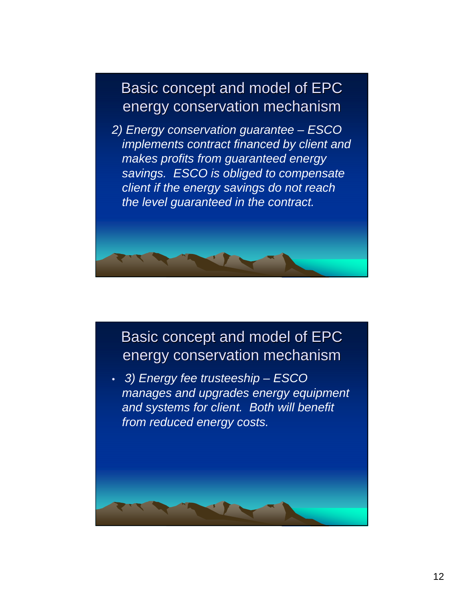#### Basic concept and model of EPC energy conservation mechanism

2) Energy conservation guarantee – ESCO implements contract financed by client and makes profits from guaranteed energy savings. ESCO is obliged to compensate client if the energy savings do not reach the level guaranteed in the contract.



• 3) Energy fee trusteeship – ESCO manages and upgrades energy equipment and systems for client. Both will benefit from reduced energy costs.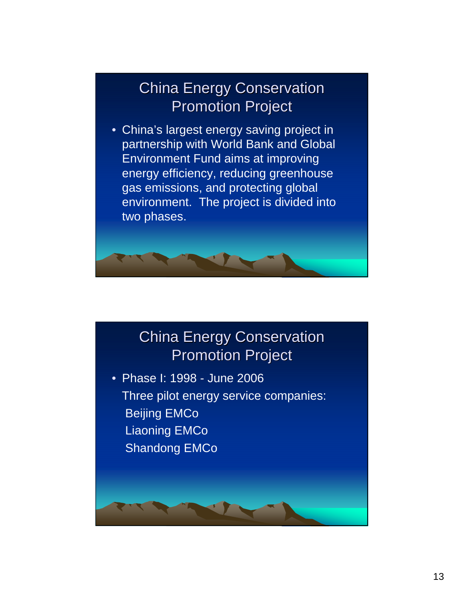• China's largest energy saving project in partnership with World Bank and Global Environment Fund aims at improving energy efficiency, reducing greenhouse gas emissions, and protecting global environment. The project is divided into two phases.



#### China Energy Conservation Promotion Project

• Phase I: 1998 - June 2006 Three pilot energy service companies: Beijing EMCo Liaoning EMCo Shandong EMCo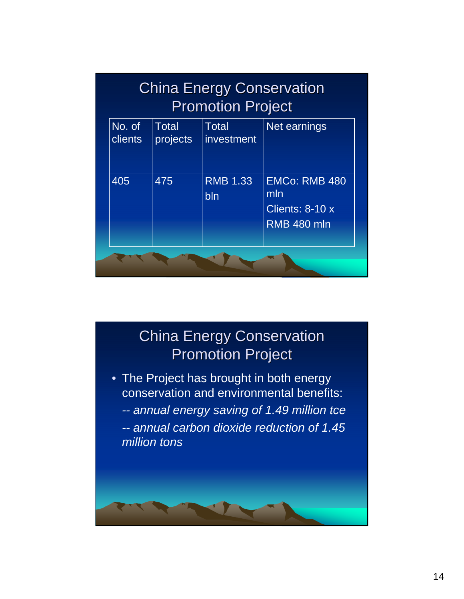| China Energy Conservation<br><b>Promotion Project</b> |                          |                            |                                                               |
|-------------------------------------------------------|--------------------------|----------------------------|---------------------------------------------------------------|
| No. of<br>clients                                     | <b>Total</b><br>projects | <b>Total</b><br>investment | Net earnings                                                  |
| 405                                                   | 475                      | <b>RMB 1.33</b><br>bln     | EMCo: RMB 480<br>mln<br>Clients: 8-10 x<br><b>RMB 480 mln</b> |
|                                                       |                          |                            |                                                               |

• The Project has brought in both energy conservation and environmental benefits: -- annual energy saving of 1.49 million tce -- annual carbon dioxide reduction of 1.45 million tons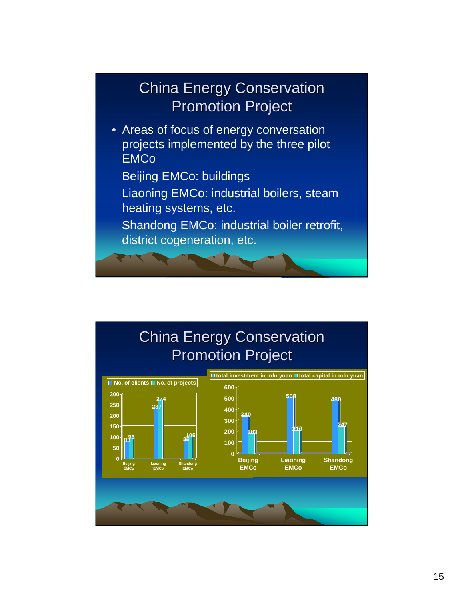- Areas of focus of energy conversation projects implemented by the three pilot EMCo
	- Beijing EMCo: buildings
	- Liaoning EMCo: industrial boilers, steam heating systems, etc.
	- Shandong EMCo: industrial boiler retrofit, district cogeneration, etc.

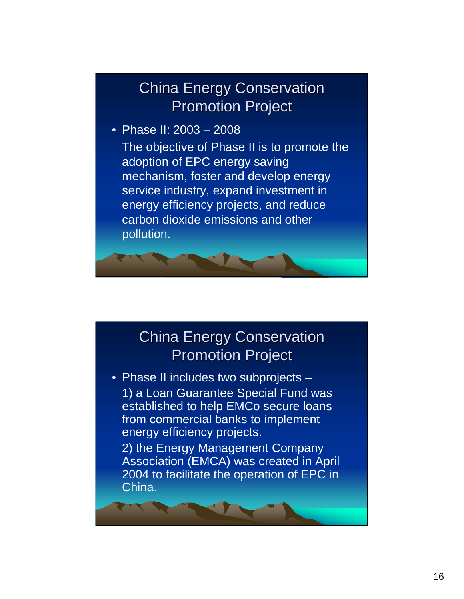• Phase II: 2003 – 2008 The objective of Phase II is to promote the adoption of EPC energy saving mechanism, foster and develop energy service industry, expand investment in energy efficiency projects, and reduce carbon dioxide emissions and other pollution.

## China Energy Conservation Promotion Project

- Phase II includes two subprojects -1) a Loan Guarantee Special Fund was established to help EMCo secure loans from commercial banks to implement energy efficiency projects.
	- 2) the Energy Management Company Association (EMCA) was created in April 2004 to facilitate the operation of EPC in China.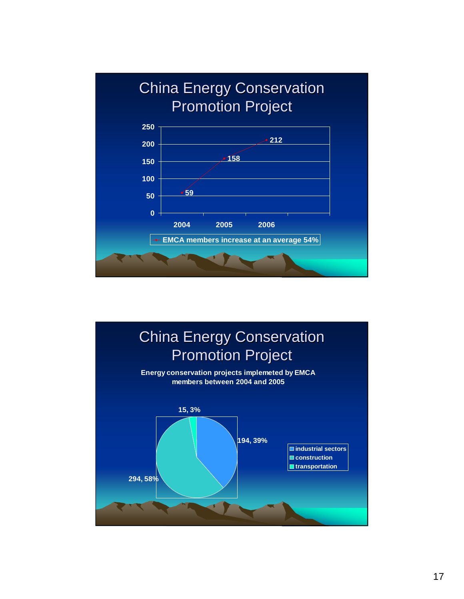

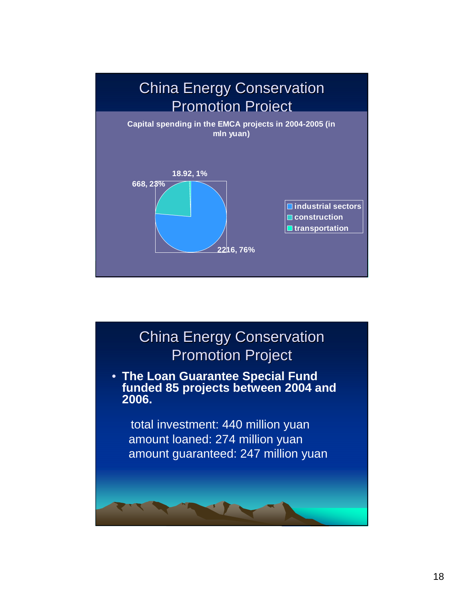

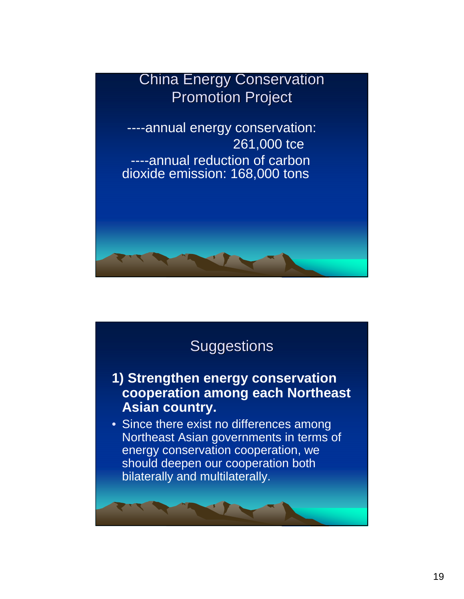----annual energy conservation: 261,000 tce ----annual reduction of carbon dioxide emission: 168,000 tons

## **Suggestions**

- **1) Strengthen energy conservation cooperation among each Northeast Asian country.**
- Since there exist no differences among Northeast Asian governments in terms of energy conservation cooperation, we should deepen our cooperation both bilaterally and multilaterally.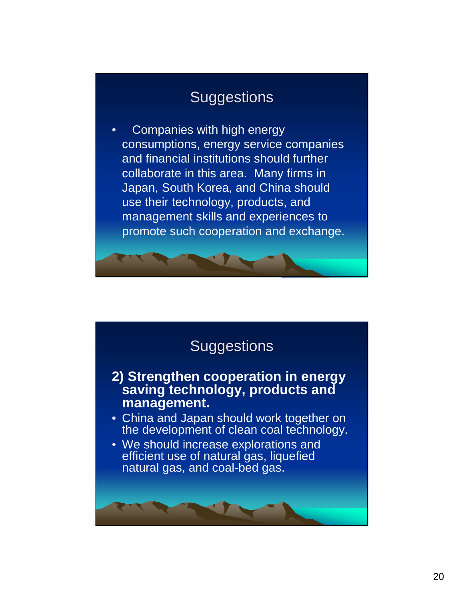• Companies with high energy consumptions, energy service companies and financial institutions should further collaborate in this area. Many firms in Japan, South Korea, and China should use their technology, products, and management skills and experiences to promote such cooperation and exchange.

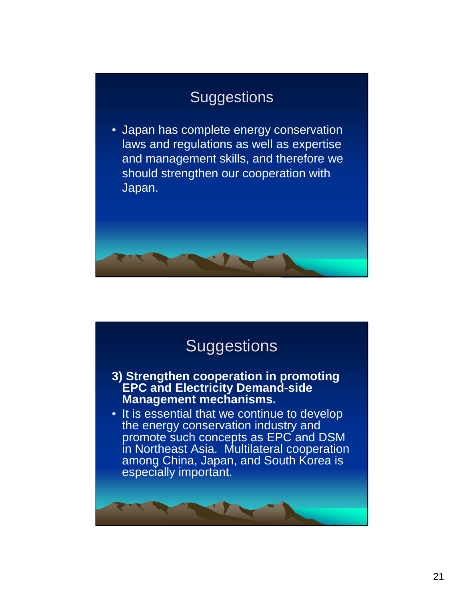• Japan has complete energy conservation laws and regulations as well as expertise and management skills, and therefore we should strengthen our cooperation with Japan.



promote such concepts as EPC and DSM in Northeast Asia. Multilateral cooperation among China, Japan, and South Korea is especially important.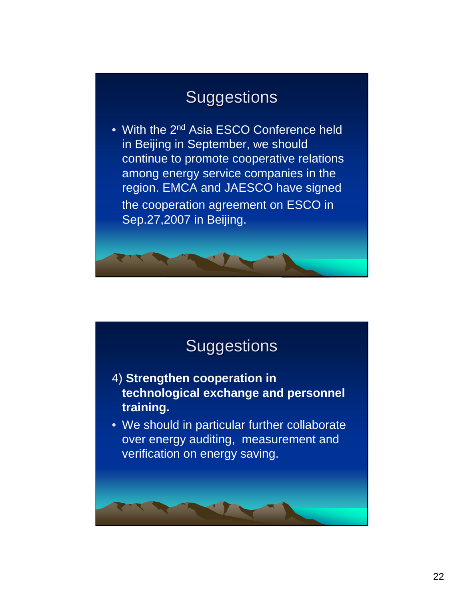• With the 2<sup>nd</sup> Asia ESCO Conference held in Beijing in September, we should continue to promote cooperative relations among energy service companies in the region. EMCA and JAESCO have signed the cooperation agreement on ESCO in Sep.27,2007 in Beijing.



## **Suggestions**

- 4) **Strengthen cooperation in technological exchange and personnel training.**
- We should in particular further collaborate over energy auditing, measurement and verification on energy saving.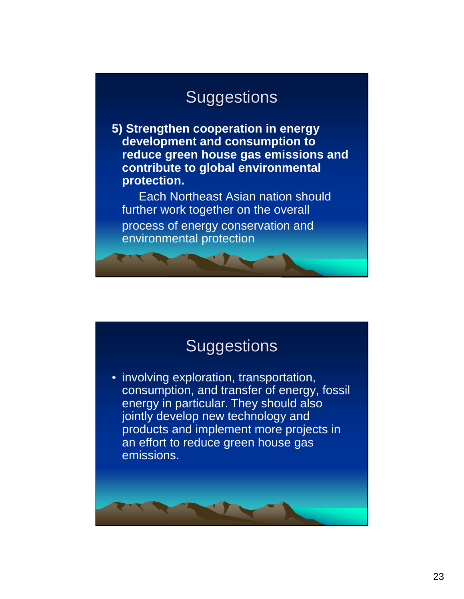**5) Strengthen cooperation in energy development and consumption to reduce green house gas emissions and contribute to global environmental protection.**

Each Northeast Asian nation should further work together on the overall process of energy conservation and environmental protection

## **Suggestions**

• involving exploration, transportation, consumption, and transfer of energy, fossil energy in particular. They should also jointly develop new technology and products and implement more projects in an effort to reduce green house gas emissions.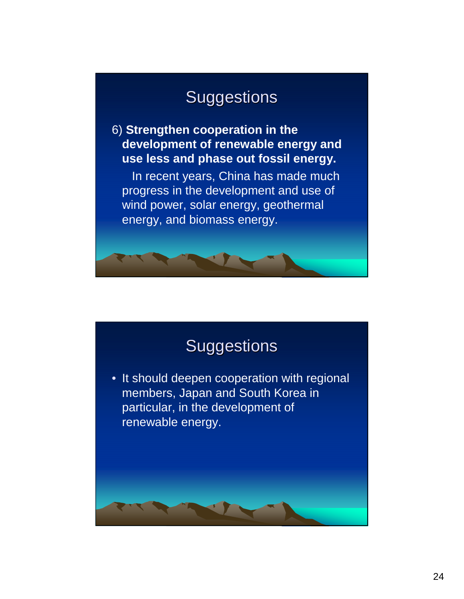6) **Strengthen cooperation in the development of renewable energy and use less and phase out fossil energy.**

In recent years, China has made much progress in the development and use of wind power, solar energy, geothermal energy, and biomass energy.



• It should deepen cooperation with regional members, Japan and South Korea in particular, in the development of renewable energy.